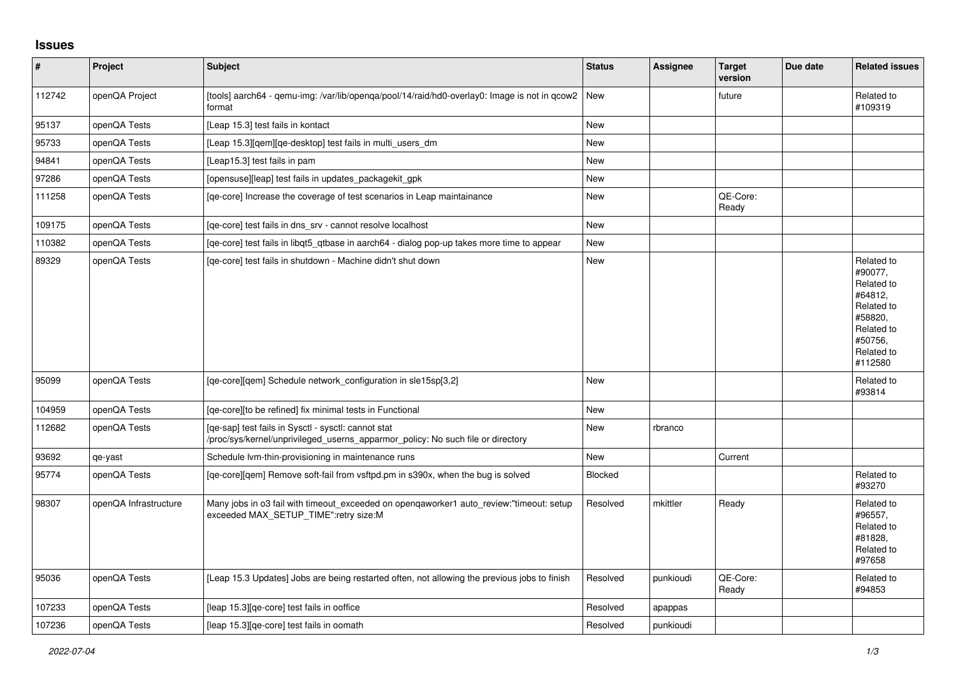## **Issues**

| $\vert$ # | Project               | <b>Subject</b>                                                                                                                         | <b>Status</b>  | <b>Assignee</b> | <b>Target</b><br>version | Due date | <b>Related issues</b>                                                                                                     |
|-----------|-----------------------|----------------------------------------------------------------------------------------------------------------------------------------|----------------|-----------------|--------------------------|----------|---------------------------------------------------------------------------------------------------------------------------|
| 112742    | openQA Project        | [tools] aarch64 - qemu-img: /var/lib/openqa/pool/14/raid/hd0-overlay0: Image is not in qcow2<br>format                                 | New            |                 | future                   |          | Related to<br>#109319                                                                                                     |
| 95137     | openQA Tests          | [Leap 15.3] test fails in kontact                                                                                                      | <b>New</b>     |                 |                          |          |                                                                                                                           |
| 95733     | openQA Tests          | [Leap 15.3][qem][qe-desktop] test fails in multi_users_dm                                                                              | New            |                 |                          |          |                                                                                                                           |
| 94841     | openQA Tests          | [Leap15.3] test fails in pam                                                                                                           | New            |                 |                          |          |                                                                                                                           |
| 97286     | openQA Tests          | [opensuse][leap] test fails in updates_packagekit_gpk                                                                                  | <b>New</b>     |                 |                          |          |                                                                                                                           |
| 111258    | openQA Tests          | [qe-core] Increase the coverage of test scenarios in Leap maintainance                                                                 | New            |                 | QE-Core:<br>Ready        |          |                                                                                                                           |
| 109175    | openQA Tests          | [ge-core] test fails in dns srv - cannot resolve localhost                                                                             | <b>New</b>     |                 |                          |          |                                                                                                                           |
| 110382    | openQA Tests          | [ge-core] test fails in libgt5 gtbase in aarch64 - dialog pop-up takes more time to appear                                             | New            |                 |                          |          |                                                                                                                           |
| 89329     | openQA Tests          | [ge-core] test fails in shutdown - Machine didn't shut down                                                                            | New            |                 |                          |          | Related to<br>#90077.<br>Related to<br>#64812,<br>Related to<br>#58820,<br>Related to<br>#50756,<br>Related to<br>#112580 |
| 95099     | openQA Tests          | [qe-core][qem] Schedule network_configuration in sle15sp[3,2]                                                                          | New            |                 |                          |          | Related to<br>#93814                                                                                                      |
| 104959    | openQA Tests          | [ge-core][to be refined] fix minimal tests in Functional                                                                               | <b>New</b>     |                 |                          |          |                                                                                                                           |
| 112682    | openQA Tests          | [qe-sap] test fails in Sysctl - sysctl: cannot stat<br>/proc/sys/kernel/unprivileged_userns_apparmor_policy: No such file or directory | New            | rbranco         |                          |          |                                                                                                                           |
| 93692     | qe-yast               | Schedule Ivm-thin-provisioning in maintenance runs                                                                                     | New            |                 | Current                  |          |                                                                                                                           |
| 95774     | openQA Tests          | [ge-core][gem] Remove soft-fail from vsftpd.pm in s390x, when the bug is solved                                                        | <b>Blocked</b> |                 |                          |          | Related to<br>#93270                                                                                                      |
| 98307     | openQA Infrastructure | Many jobs in o3 fail with timeout_exceeded on openqaworker1 auto_review:"timeout: setup<br>exceeded MAX_SETUP_TIME":retry size:M       | Resolved       | mkittler        | Ready                    |          | Related to<br>#96557,<br>Related to<br>#81828.<br>Related to<br>#97658                                                    |
| 95036     | openQA Tests          | [Leap 15.3 Updates] Jobs are being restarted often, not allowing the previous jobs to finish                                           | Resolved       | punkioudi       | QE-Core:<br>Ready        |          | Related to<br>#94853                                                                                                      |
| 107233    | openQA Tests          | [leap 15.3][qe-core] test fails in ooffice                                                                                             | Resolved       | apappas         |                          |          |                                                                                                                           |
| 107236    | openQA Tests          | [leap 15.3][ge-core] test fails in oomath                                                                                              | Resolved       | punkioudi       |                          |          |                                                                                                                           |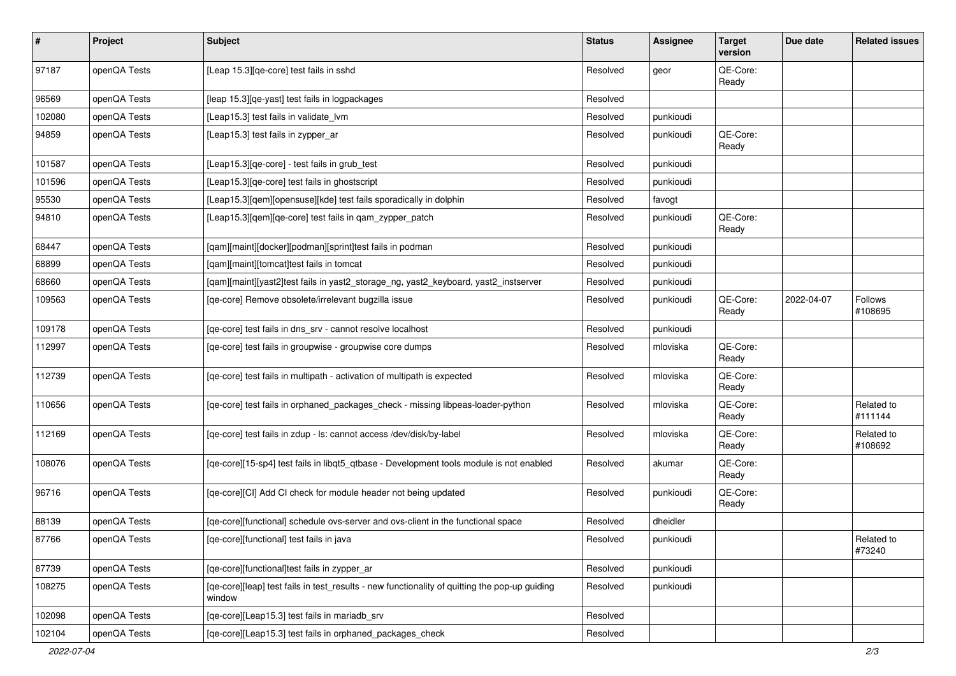| #      | Project      | Subject                                                                                                 | <b>Status</b> | <b>Assignee</b> | <b>Target</b><br>version | Due date   | <b>Related issues</b> |
|--------|--------------|---------------------------------------------------------------------------------------------------------|---------------|-----------------|--------------------------|------------|-----------------------|
| 97187  | openQA Tests | [Leap 15.3][qe-core] test fails in sshd                                                                 | Resolved      | geor            | QE-Core:<br>Ready        |            |                       |
| 96569  | openQA Tests | [leap 15.3][qe-yast] test fails in logpackages                                                          | Resolved      |                 |                          |            |                       |
| 102080 | openQA Tests | [Leap15.3] test fails in validate_lvm                                                                   | Resolved      | punkioudi       |                          |            |                       |
| 94859  | openQA Tests | [Leap15.3] test fails in zypper_ar                                                                      | Resolved      | punkioudi       | QE-Core:<br>Ready        |            |                       |
| 101587 | openQA Tests | [Leap15.3][qe-core] - test fails in grub_test                                                           | Resolved      | punkioudi       |                          |            |                       |
| 101596 | openQA Tests | [Leap15.3][qe-core] test fails in ghostscript                                                           | Resolved      | punkioudi       |                          |            |                       |
| 95530  | openQA Tests | [Leap15.3][qem][opensuse][kde] test fails sporadically in dolphin                                       | Resolved      | favogt          |                          |            |                       |
| 94810  | openQA Tests | [Leap15.3][qem][qe-core] test fails in qam_zypper_patch                                                 | Resolved      | punkioudi       | QE-Core:<br>Ready        |            |                       |
| 68447  | openQA Tests | [qam][maint][docker][podman][sprint]test fails in podman                                                | Resolved      | punkioudi       |                          |            |                       |
| 68899  | openQA Tests | [qam][maint][tomcat]test fails in tomcat                                                                | Resolved      | punkioudi       |                          |            |                       |
| 68660  | openQA Tests | [qam][maint][yast2]test fails in yast2_storage_ng, yast2_keyboard, yast2_instserver                     | Resolved      | punkioudi       |                          |            |                       |
| 109563 | openQA Tests | [qe-core] Remove obsolete/irrelevant bugzilla issue                                                     | Resolved      | punkioudi       | QE-Core:<br>Ready        | 2022-04-07 | Follows<br>#108695    |
| 109178 | openQA Tests | [qe-core] test fails in dns_srv - cannot resolve localhost                                              | Resolved      | punkioudi       |                          |            |                       |
| 112997 | openQA Tests | [qe-core] test fails in groupwise - groupwise core dumps                                                | Resolved      | mloviska        | QE-Core:<br>Ready        |            |                       |
| 112739 | openQA Tests | [qe-core] test fails in multipath - activation of multipath is expected                                 | Resolved      | mloviska        | QE-Core:<br>Ready        |            |                       |
| 110656 | openQA Tests | [qe-core] test fails in orphaned_packages_check - missing libpeas-loader-python                         | Resolved      | mloviska        | QE-Core:<br>Ready        |            | Related to<br>#111144 |
| 112169 | openQA Tests | [qe-core] test fails in zdup - ls: cannot access /dev/disk/by-label                                     | Resolved      | mloviska        | QE-Core:<br>Ready        |            | Related to<br>#108692 |
| 108076 | openQA Tests | [qe-core][15-sp4] test fails in libqt5_qtbase - Development tools module is not enabled                 | Resolved      | akumar          | QE-Core:<br>Ready        |            |                       |
| 96716  | openQA Tests | [qe-core][CI] Add CI check for module header not being updated                                          | Resolved      | punkioudi       | QE-Core:<br>Ready        |            |                       |
| 88139  | openQA Tests | [ge-core][functional] schedule ovs-server and ovs-client in the functional space                        | Resolved      | dheidler        |                          |            |                       |
| 87766  | openQA Tests | [qe-core][functional] test fails in java                                                                | Resolved      | punkioudi       |                          |            | Related to<br>#73240  |
| 87739  | openQA Tests | [qe-core][functional]test fails in zypper_ar                                                            | Resolved      | punkioudi       |                          |            |                       |
| 108275 | openQA Tests | [qe-core][leap] test fails in test_results - new functionality of quitting the pop-up guiding<br>window | Resolved      | punkioudi       |                          |            |                       |
| 102098 | openQA Tests | [qe-core][Leap15.3] test fails in mariadb_srv                                                           | Resolved      |                 |                          |            |                       |
| 102104 | openQA Tests | [qe-core][Leap15.3] test fails in orphaned_packages_check                                               | Resolved      |                 |                          |            |                       |